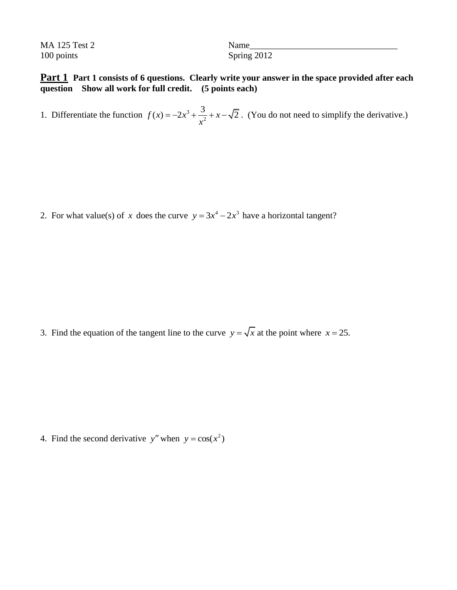MA 125 Test 2 Name 100 points Spring 2012

## **Part 1 Part 1 consists of 6 questions. Clearly write your answer in the space provided after each question Show all work for full credit. (5 points each)**

1. Differentiate the function  $f(x) = -2x^3$ 2  $f(x) = -2x^3 + \frac{3}{x^2} + x - \sqrt{2}$ . (You do not need to simplify the derivative.)

2. For what value(s) of x does the curve  $y = 3x^4 - 2x^3$  have a horizontal tangent?

3. Find the equation of the tangent line to the curve  $y = \sqrt{x}$  at the point where  $x = 25$ .

4. Find the second derivative y'' when  $y = cos(x^2)$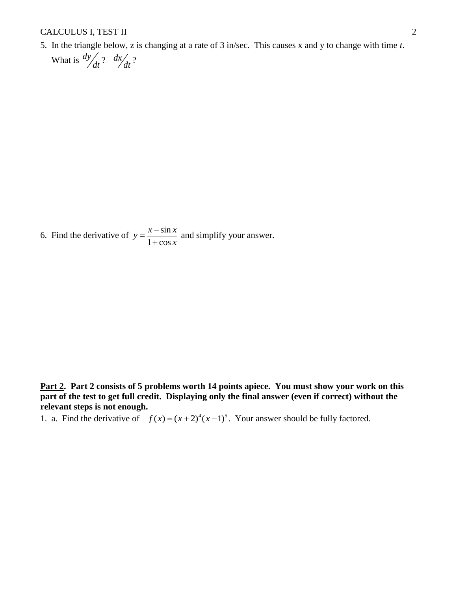## CALCULUS I, TEST II 2

5. In the triangle below, z is changing at a rate of 3 in/sec. This causes x and y to change with time *t*.

 What is *dy dt* ? *dx dt* ?

6. Find the derivative of  $y = \frac{x - \sin x}{1}$  $1 + \cos$  $y = \frac{x - \sin x}{1}$ *x*  $=\frac{x-}{1}$  $\ddot{}$ and simplify your answer.

**Part 2. Part 2 consists of 5 problems worth 14 points apiece. You must show your work on this part of the test to get full credit. Displaying only the final answer (even if correct) without the relevant steps is not enough.**

1. a. Find the derivative of  $f(x) = (x+2)^4 (x-1)^5$ . Your answer should be fully factored.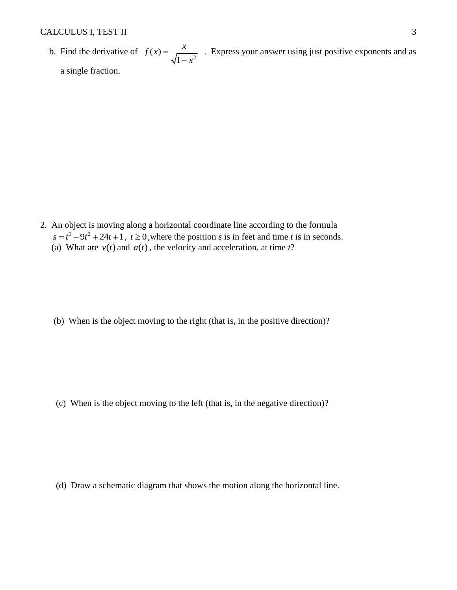b. Find the derivative of  $f(x) = \frac{x}{\sqrt{1-x^2}}$ 1  $f(x) = \frac{x}{\sqrt{2}}$ *x*  $=$  $\overline{a}$  . Express your answer using just positive exponents and as a single fraction.

2. An object is moving along a horizontal coordinate line according to the formula  $s = t^3 - 9t^2 + 24t + 1$ ,  $t \ge 0$ , where the position *s* is in feet and time *t* is in seconds. (a) What are  $v(t)$  and  $a(t)$ , the velocity and acceleration, at time *t*?

(b) When is the object moving to the right (that is, in the positive direction)?

(c) When is the object moving to the left (that is, in the negative direction)?

(d) Draw a schematic diagram that shows the motion along the horizontal line.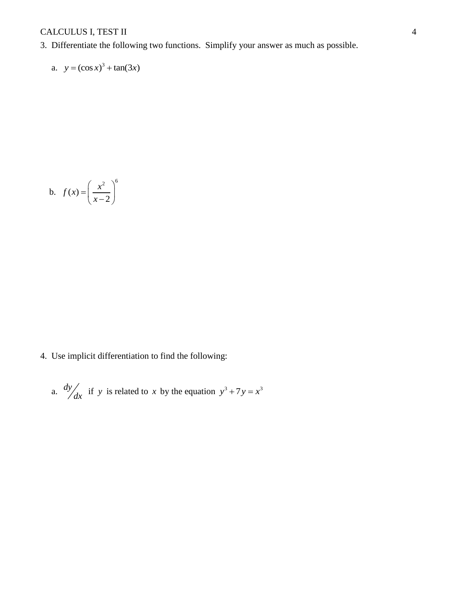## CALCULUS I, TEST II 4

3. Differentiate the following two functions. Simplify your answer as much as possible.

a. 
$$
y = (\cos x)^3 + \tan(3x)
$$

$$
b. \quad f(x) = \left(\frac{x^2}{x-2}\right)^6
$$

4. Use implicit differentiation to find the following:

a. 
$$
\frac{dy}{dx}
$$
 if y is related to x by the equation  $y^3 + 7y = x^3$